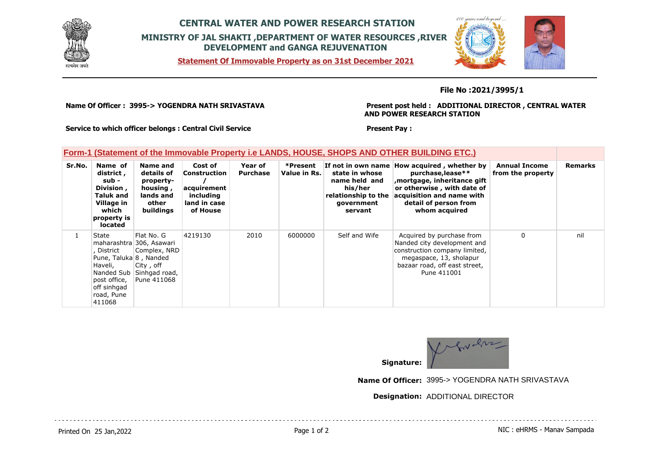

# **CENTRAL WATER AND POWER RESEARCH STATION MINISTRY OF JAL SHAKTI ,DEPARTMENT OF WATER RESOURCES ,RIVER DEVELOPMENT and GANGA REJUVENATION**

**Statement Of Immovable Property as on 31st December 2021**



### **File No :2021/3995/1**

**Name Of Officer : 3995-> YOGENDRA NATH SRIVASTAVA** 

#### **Present post held : ADDITIONAL DIRECTOR , CENTRAL WATER AND POWER RESEARCH STATION**

**Service to which officer belongs : Central Civil Service**

#### **Present Pay :**

## **Form-1 (Statement of the Immovable Property i.e LANDS, HOUSE, SHOPS AND OTHER BUILDING ETC.)**

| Sr.No. | Name of<br>district,<br>sub -<br>Division,<br><b>Taluk and</b><br>Village in<br>which<br>property is<br>located | Name and<br>details of<br>property-<br>housing,<br>lands and<br>other<br>buildings                             | Cost of<br>Construction<br>acquirement<br>including<br>land in case<br>of House | Year of<br><b>Purchase</b> | *Present<br>Value in Rs. | If not in own name<br>state in whose<br>name held and<br>his/her<br>relationship to the<br>government<br>servant | How acquired, whether by<br>purchase, lease**<br>mortgage, inheritance gift<br>or otherwise, with date of<br>acquisition and name with<br>detail of person from<br>whom acquired | <b>Annual Income</b><br>from the property | <b>Remarks</b> |
|--------|-----------------------------------------------------------------------------------------------------------------|----------------------------------------------------------------------------------------------------------------|---------------------------------------------------------------------------------|----------------------------|--------------------------|------------------------------------------------------------------------------------------------------------------|----------------------------------------------------------------------------------------------------------------------------------------------------------------------------------|-------------------------------------------|----------------|
|        | State<br>District<br>Pune, Taluka 8, Nanded<br>Haveli,<br>post office,<br>off sinhgad<br>road, Pune<br>411068   | Flat No. G<br>maharashtra 306, Asawari<br>Complex, NRD<br>City, off<br>Nanded Sub Sinhgad road,<br>Pune 411068 | 4219130                                                                         | 2010                       | 6000000                  | Self and Wife                                                                                                    | Acquired by purchase from<br>Nanded city development and<br>construction company limited,<br>megaspace, 13, sholapur<br>bazaar road, off east street,<br>Pune 411001             | $\mathbf{0}$                              | nil            |



**Name Of Officer:** 3995-> YOGENDRA NATH SRIVASTAVA

### **Designation:** ADDITIONAL DIRECTOR